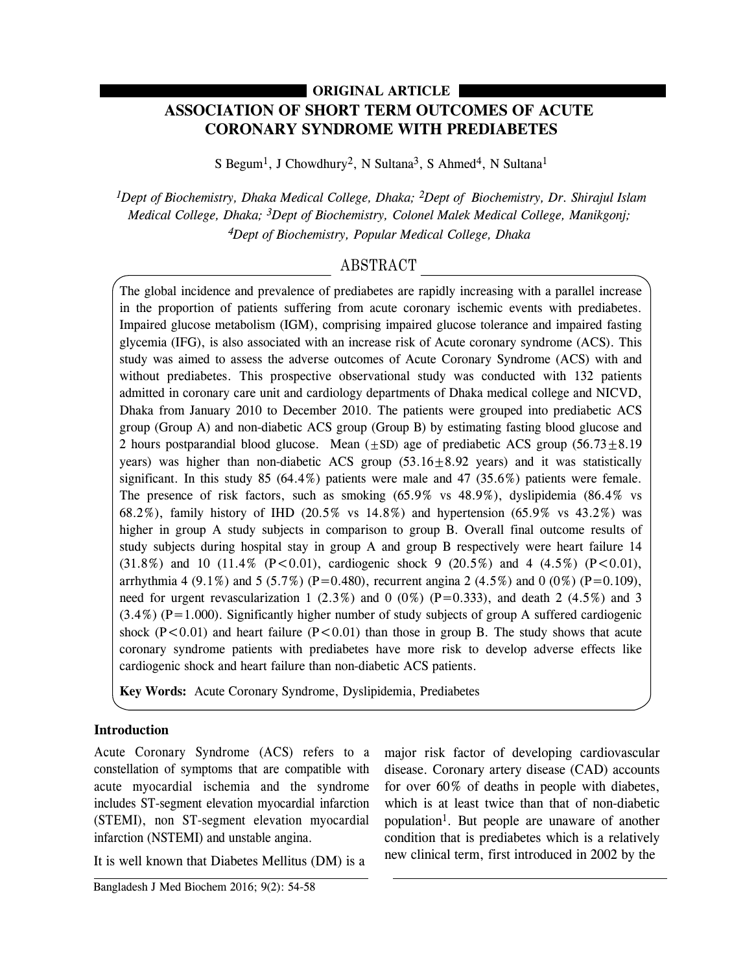# **ORIGINAL ARTICLE**

# **ASSOCIATION OF SHORT TERM OUTCOMES OF ACUTE CORONARY SYNDROME WITH PREDIABETES**

S Begum<sup>1</sup>, J Chowdhury<sup>2</sup>, N Sultana<sup>3</sup>, S Ahmed<sup>4</sup>, N Sultana<sup>1</sup>

*1Dept of Biochemistry, Dhaka Medical College, Dhaka; 2Dept of Biochemistry, Dr. Shirajul Islam Medical College, Dhaka; 3Dept of Biochemistry, Colonel Malek Medical College, Manikgonj; 4Dept of Biochemistry, Popular Medical College, Dhaka*

# ABSTRACT

The global incidence and prevalence of prediabetes are rapidly increasing with a parallel increase in the proportion of patients suffering from acute coronary ischemic events with prediabetes. Impaired glucose metabolism (IGM), comprising impaired glucose tolerance and impaired fasting glycemia (IFG), is also associated with an increase risk of Acute coronary syndrome (ACS). This study was aimed to assess the adverse outcomes of Acute Coronary Syndrome (ACS) with and without prediabetes. This prospective observational study was conducted with 132 patients admitted in coronary care unit and cardiology departments of Dhaka medical college and NICVD, Dhaka from January 2010 to December 2010. The patients were grouped into prediabetic ACS group (Group A) and non-diabetic ACS group (Group B) by estimating fasting blood glucose and 2 hours postparandial blood glucose. Mean  $(\pm SD)$  age of prediabetic ACS group (56.73 $\pm$ 8.19) years) was higher than non-diabetic ACS group  $(53.16 \pm 8.92 \text{ years})$  and it was statistically significant. In this study 85  $(64.4\%)$  patients were male and 47  $(35.6\%)$  patients were female. The presence of risk factors, such as smoking (65.9% vs 48.9%), dyslipidemia (86.4% vs 68.2%), family history of IHD (20.5% vs 14.8%) and hypertension (65.9% vs 43.2%) was higher in group A study subjects in comparison to group B. Overall final outcome results of study subjects during hospital stay in group A and group B respectively were heart failure 14  $(31.8\%)$  and 10  $(11.4\%$  (P<0.01), cardiogenic shock 9 (20.5%) and 4 (4.5%) (P<0.01), arrhythmia 4 (9.1%) and 5 (5.7%) (P=0.480), recurrent angina 2 (4.5%) and 0 (0%) (P=0.109), need for urgent revascularization 1 (2.3%) and 0 (0%) (P=0.333), and death 2 (4.5%) and 3  $(3.4\%)$  (P=1.000). Significantly higher number of study subjects of group A suffered cardiogenic shock ( $P < 0.01$ ) and heart failure ( $P < 0.01$ ) than those in group B. The study shows that acute coronary syndrome patients with prediabetes have more risk to develop adverse effects like cardiogenic shock and heart failure than non-diabetic ACS patients.

**Key Words:** Acute Coronary Syndrome, Dyslipidemia, Prediabetes

## **Introduction**

Acute Coronary Syndrome (ACS) refers to a constellation of symptoms that are compatible with acute myocardial ischemia and the syndrome includes ST-segment elevation myocardial infarction (STEMI), non ST-segment elevation myocardial infarction (NSTEMI) and unstable angina.

It is well known that Diabetes Mellitus (DM) is a

major risk factor of developing cardiovascular disease. Coronary artery disease (CAD) accounts for over 60% of deaths in people with diabetes, which is at least twice than that of non-diabetic population1. But people are unaware of another condition that is prediabetes which is a relatively new clinical term, first introduced in 2002 by the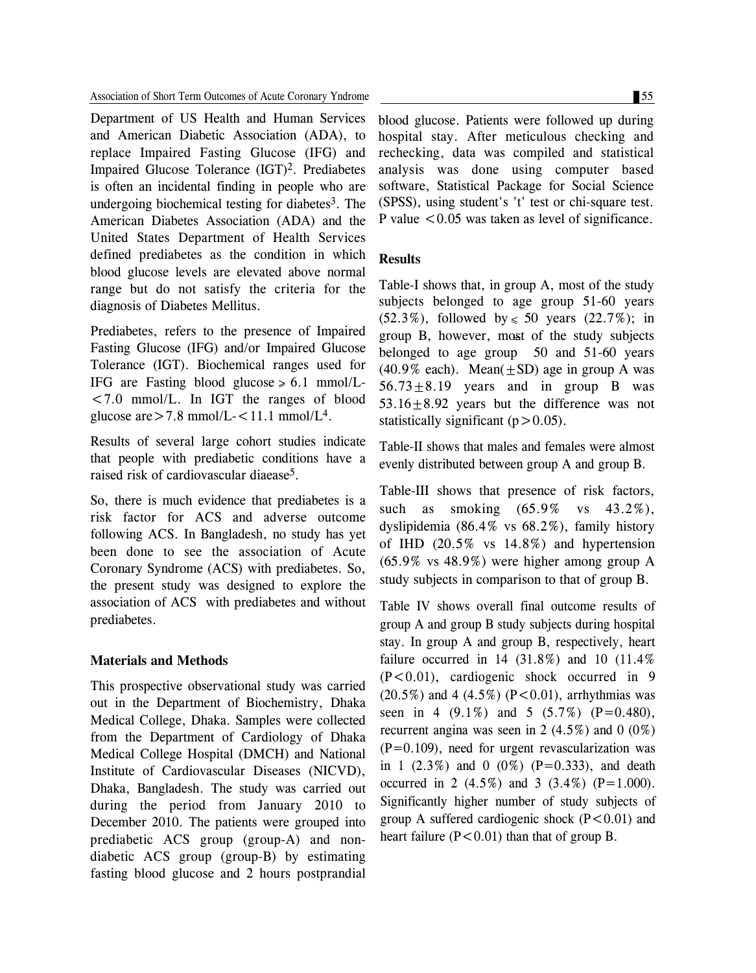Department of US Health and Human Services and American Diabetic Association (ADA), to replace Impaired Fasting Glucose (IFG) and Impaired Glucose Tolerance (IGT)2. Prediabetes is often an incidental finding in people who are undergoing biochemical testing for diabetes $3$ . The American Diabetes Association (ADA) and the United States Department of Health Services defined prediabetes as the condition in which blood glucose levels are elevated above normal range but do not satisfy the criteria for the diagnosis of Diabetes Mellitus.

Prediabetes, refers to the presence of Impaired Fasting Glucose (IFG) and/or Impaired Glucose Tolerance (IGT). Biochemical ranges used for IFG are Fasting blood glucose  $\ge 6.1$  mmol/L-<7.0 mmol/L. In IGT the ranges of blood glucose are  $>$  7.8 mmol/L- $<$  11.1 mmol/L<sup>4</sup>.

Results of several large cohort studies indicate that people with prediabetic conditions have a raised risk of cardiovascular diaease5.

So, there is much evidence that prediabetes is a risk factor for ACS and adverse outcome following ACS. In Bangladesh, no study has yet been done to see the association of Acute Coronary Syndrome (ACS) with prediabetes. So, the present study was designed to explore the association of ACS with prediabetes and without prediabetes.

#### **Materials and Methods**

This prospective observational study was carried out in the Department of Biochemistry, Dhaka Medical College, Dhaka. Samples were collected from the Department of Cardiology of Dhaka Medical College Hospital (DMCH) and National Institute of Cardiovascular Diseases (NICVD), Dhaka, Bangladesh. The study was carried out during the period from January 2010 to December 2010. The patients were grouped into prediabetic ACS group (group-A) and nondiabetic ACS group (group-B) by estimating fasting blood glucose and 2 hours postprandial blood glucose. Patients were followed up during hospital stay. After meticulous checking and rechecking, data was compiled and statistical analysis was done using computer based software, Statistical Package for Social Science (SPSS), using student's 't' test or chi-square test. P value  $< 0.05$  was taken as level of significance.

#### **Results**

Table-I shows that, in group A, most of the study subjects belonged to age group 51-60 years (52.3%), followed by  $\le 50$  years (22.7%); in group B, however, most of the study subjects belonged to age group 50 and 51-60 years (40.9% each). Mean( $\pm$ SD) age in group A was  $56.73 \pm 8.19$  years and in group B was 53.16 $\pm$ 8.92 years but the difference was not statistically significant  $(p>0.05)$ .

Table-II shows that males and females were almost evenly distributed between group A and group B.

Table-III shows that presence of risk factors, such as smoking (65.9% vs 43.2%), dyslipidemia (86.4% vs 68.2%), family history of IHD (20.5% vs 14.8%) and hypertension (65.9% vs 48.9%) were higher among group A study subjects in comparison to that of group B.

Table IV shows overall final outcome results of group A and group B study subjects during hospital stay. In group A and group B, respectively, heart failure occurred in 14 (31.8%) and 10 (11.4%  $(P<0.01)$ , cardiogenic shock occurred in 9  $(20.5\%)$  and 4  $(4.5\%)$   $(P<0.01)$ , arrhythmias was seen in 4  $(9.1\%)$  and 5  $(5.7\%)$   $(P=0.480)$ , recurrent angina was seen in 2  $(4.5\%)$  and 0  $(0\%)$  $(P=0.109)$ , need for urgent revascularization was in 1  $(2.3\%)$  and 0  $(0\%)$   $(P=0.333)$ , and death occurred in 2  $(4.5\%)$  and 3  $(3.4\%)$  (P=1.000). Significantly higher number of study subjects of group A suffered cardiogenic shock  $(P<0.01)$  and heart failure  $(P<0.01)$  than that of group B.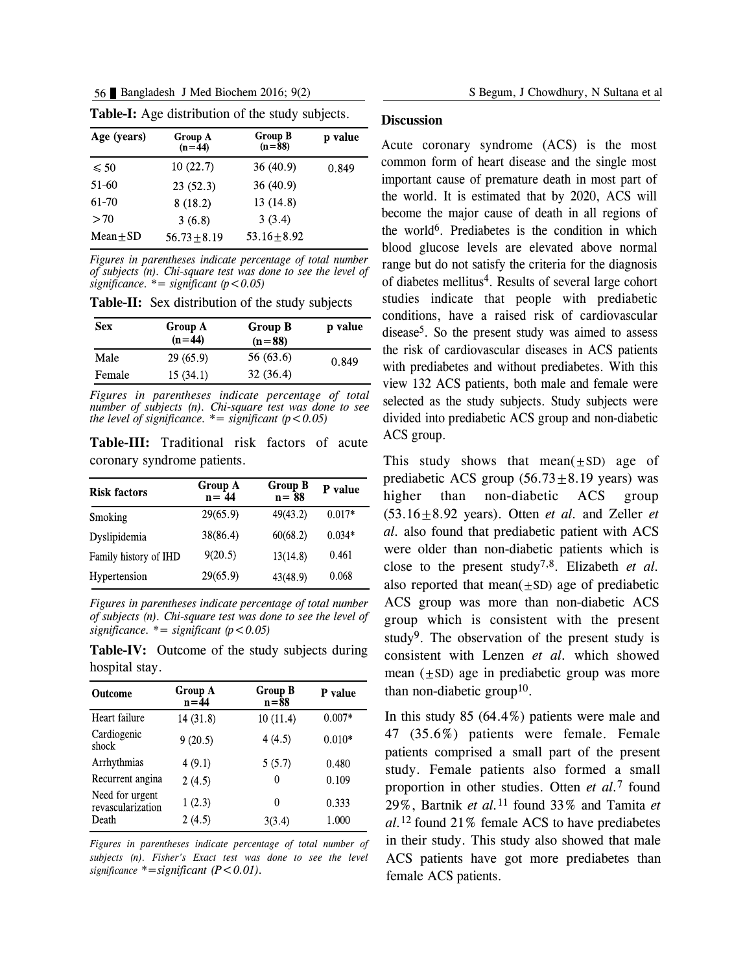56 Bangladesh J Med Biochem 2016; 9(2) S Begum, J Chowdhury, N Sultana et al

| Age (years) | Group A<br>$(n=44)$ | <b>Group B</b><br>$(n=88)$ | p value |
|-------------|---------------------|----------------------------|---------|
| $\leq 50$   | 10(22.7)            | 36(40.9)                   | 0.849   |
| 51-60       | 23(52.3)            | 36(40.9)                   |         |
| 61 70       | 8(18.2)             | 13 (14.8)                  |         |
| >70         | 3(6.8)              | 3(3.4)                     |         |
| $Mean + SD$ | $56.73 + 8.19$      | $53.16 + 8.92$             |         |

**Table-I:** Age distribution of the study subjects.

*Figures in parentheses indicate percentage of total number of subjects (n). Chi-square test was done to see the level of*  $significance.$ <sup>\*</sup> =  $significant (p < 0.05)$ 

**Table-II:** Sex distribution of the study subjects

| <b>Sex</b> | Group A<br>$(n=44)$ | <b>Group B</b><br>$(n=88)$ | p value |
|------------|---------------------|----------------------------|---------|
| Male       | 29(65.9)            | 56 (63.6)                  | 0.849   |
| Female     | 15(34.1)            | 32(36.4)                   |         |

*Figures in parentheses indicate percentage of total number of subjects (n). Chi-square test was done to see the level of significance.*  $* =$  *significant*  $(p < 0.05)$ 

**Table-III:** Traditional risk factors of acute coronary syndrome patients.

| <b>Risk factors</b>   | Group A<br>$n = 44$ | <b>Group B</b><br>$n = 88$ | P value  |
|-----------------------|---------------------|----------------------------|----------|
| Smoking               | 29(65.9)            | 49(43.2)                   | $0.017*$ |
| Dyslipidemia          | 38(86.4)            | 60(68.2)                   | $0.034*$ |
| Family history of IHD | 9(20.5)             | 13(14.8)                   | 0.461    |
| Hypertension          | 29(65.9)            | 43(48.9)                   | 0.068    |

*Figures in parentheses indicate percentage of total number of subjects (n). Chi-square test was done to see the level of*  $significance.$   $*= significant (p < 0.05)$ 

**Table-IV:** Outcome of the study subjects during hospital stay.

| <b>Outcome</b>                       | Group A<br>$n = 44$ | <b>Group B</b><br>$n = 88$ | P value  |
|--------------------------------------|---------------------|----------------------------|----------|
| Heart failure                        | 14(31.8)            | 10(11.4)                   | $0.007*$ |
| Cardiogenic<br>shock                 | 9(20.5)             | 4(4.5)                     | $0.010*$ |
| Arrhythmias                          | 4(9.1)              | 5(5.7)                     | 0.480    |
| Recurrent angina                     | 2(4.5)              | 0                          | 0.109    |
| Need for urgent<br>revascularization | 1(2.3)              | 0                          | 0.333    |
| Death                                | 2(4.5)              | 3(3.4)                     | 1.000    |

*Figures in parentheses indicate percentage of total number of subjects (n). Fisher's Exact test was done to see the level significance \*=significant (P<0.01).*

#### **Discussion**

Acute coronary syndrome (ACS) is the most common form of heart disease and the single most important cause of premature death in most part of the world. It is estimated that by 2020, ACS will become the major cause of death in all regions of the world6. Prediabetes is the condition in which blood glucose levels are elevated above normal range but do not satisfy the criteria for the diagnosis of diabetes mellitus4. Results of several large cohort studies indicate that people with prediabetic conditions, have a raised risk of cardiovascular  $disease<sup>5</sup>$ . So the present study was aimed to assess the risk of cardiovascular diseases in ACS patients with prediabetes and without prediabetes. With this view 132 ACS patients, both male and female were selected as the study subjects. Study subjects were divided into prediabetic ACS group and non-diabetic ACS group.

This study shows that mean $(\pm SD)$  age of prediabetic ACS group  $(56.73 \pm 8.19 \text{ years})$  was higher than non-diabetic ACS group  $(53.16 \pm 8.92 \text{ years})$ . Otten *et al.* and Zeller *et al.* also found that prediabetic patient with ACS were older than non-diabetic patients which is close to the present study7,8. Elizabeth *et al.* also reported that mean $(\pm SD)$  age of prediabetic ACS group was more than non-diabetic ACS group which is consistent with the present study<sup>9</sup>. The observation of the present study is consistent with Lenzen *et al.* which showed mean  $(+SD)$  age in prediabetic group was more than non-diabetic group<sup>10</sup>.

In this study 85 (64.4%) patients were male and 47 (35.6%) patients were female. Female patients comprised a small part of the present study. Female patients also formed a small proportion in other studies. Otten *et al.*<sup>7</sup> found 29%, Bartnik *et al.*<sup>11</sup> found 33% and Tamita *et al.*<sup>12</sup> found 21% female ACS to have prediabetes in their study. This study also showed that male ACS patients have got more prediabetes than female ACS patients.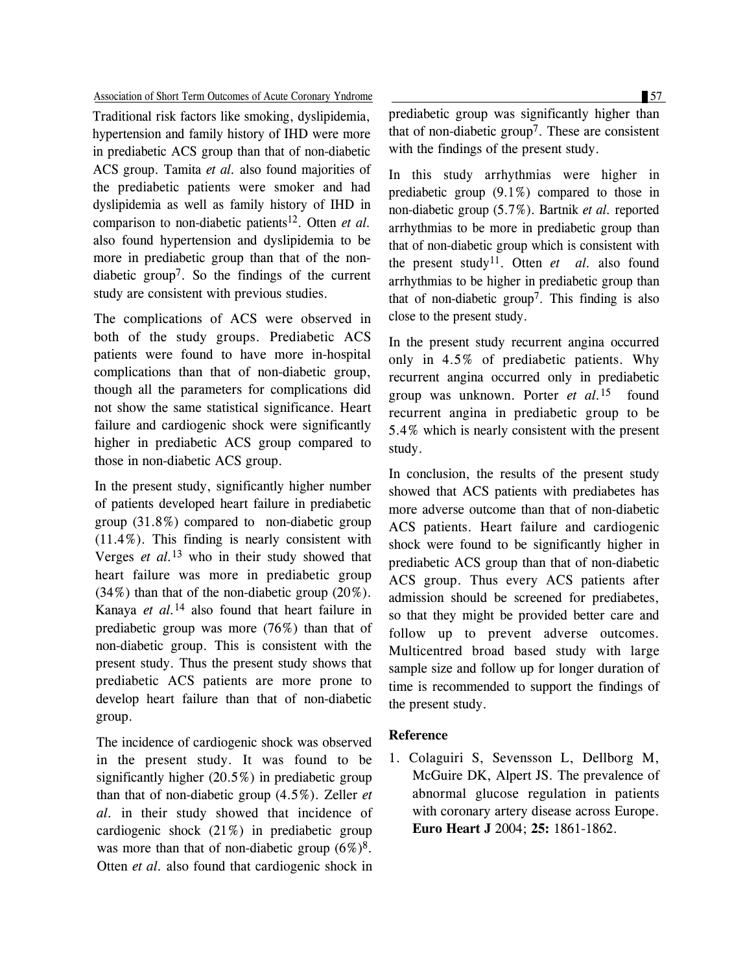#### Association of Short Term Outcomes of Acute Coronary Yndrome 57

Traditional risk factors like smoking, dyslipidemia, hypertension and family history of IHD were more in prediabetic ACS group than that of non-diabetic ACS group. Tamita *et al.* also found majorities of the prediabetic patients were smoker and had dyslipidemia as well as family history of IHD in comparison to non-diabetic patients12. Otten *et al.* also found hypertension and dyslipidemia to be more in prediabetic group than that of the nondiabetic group7. So the findings of the current study are consistent with previous studies.

The complications of ACS were observed in both of the study groups. Prediabetic ACS patients were found to have more in-hospital complications than that of non-diabetic group, though all the parameters for complications did not show the same statistical significance. Heart failure and cardiogenic shock were significantly higher in prediabetic ACS group compared to those in non-diabetic ACS group.

In the present study, significantly higher number of patients developed heart failure in prediabetic group (31.8%) compared to non-diabetic group (11.4%). This finding is nearly consistent with Verges *et al.*<sup>13</sup> who in their study showed that heart failure was more in prediabetic group  $(34\%)$  than that of the non-diabetic group  $(20\%)$ . Kanaya *et al.*<sup>14</sup> also found that heart failure in prediabetic group was more (76%) than that of non-diabetic group. This is consistent with the present study. Thus the present study shows that prediabetic ACS patients are more prone to develop heart failure than that of non-diabetic group.

The incidence of cardiogenic shock was observed in the present study. It was found to be significantly higher (20.5%) in prediabetic group than that of non-diabetic group (4.5%). Zeller *et al.* in their study showed that incidence of cardiogenic shock (21%) in prediabetic group was more than that of non-diabetic group  $(6\%)^8$ . Otten *et al.* also found that cardiogenic shock in

prediabetic group was significantly higher than that of non-diabetic group<sup>7</sup>. These are consistent with the findings of the present study.

In this study arrhythmias were higher in prediabetic group (9.1%) compared to those in non-diabetic group (5.7%). Bartnik *et al.* reported arrhythmias to be more in prediabetic group than that of non-diabetic group which is consistent with the present study11. Otten *et al.* also found arrhythmias to be higher in prediabetic group than that of non-diabetic group7. This finding is also close to the present study.

In the present study recurrent angina occurred only in 4.5% of prediabetic patients. Why recurrent angina occurred only in prediabetic group was unknown. Porter *et al.*<sup>15</sup> found recurrent angina in prediabetic group to be 5.4% which is nearly consistent with the present study.

In conclusion, the results of the present study showed that ACS patients with prediabetes has more adverse outcome than that of non-diabetic ACS patients. Heart failure and cardiogenic shock were found to be significantly higher in prediabetic ACS group than that of non-diabetic ACS group. Thus every ACS patients after admission should be screened for prediabetes, so that they might be provided better care and follow up to prevent adverse outcomes. Multicentred broad based study with large sample size and follow up for longer duration of time is recommended to support the findings of the present study.

### **Reference**

1. Colaguiri S, Sevensson L, Dellborg M, McGuire DK, Alpert JS. The prevalence of abnormal glucose regulation in patients with coronary artery disease across Europe. **Euro Heart J** 2004; **25:** 1861-1862.